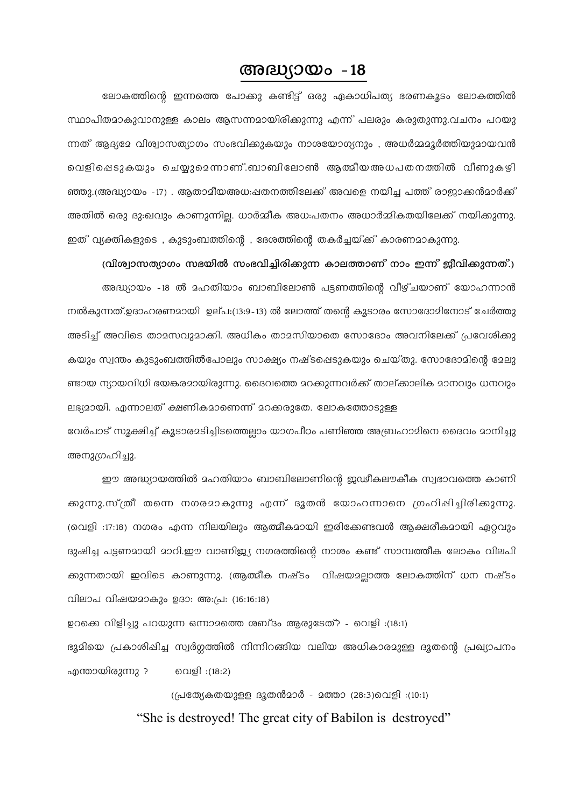## അദ്ധ്യായം  $-18$

ലോകത്തിന്റെ ഇന്നത്തെ പോകു കണ്ടിട്ട് ഒരു ഏകാധിപത്യ ഭരണകൂടം ലോകത്തിൽ സ്ഥാപിതമാകുവാനുള്ള കാലം ആസന്നമായിരിക്കുന്നു എന്ന് പലരും കരുതുന്നു.വചനം പറയു ന്നത് ആദ്യമേ വിശ്വാസത്യാഗം സംഭവിക്കുകയും നാശയോഗ്യനും , അധർമ്മമൂർത്തിയുമായവൻ വെളിപ്പെടുകയും ചെയ്യുമെന്നാണ്.ബാബിലോൺ ആത്മീയഅധപതനത്തിൽ വീണുകഴി ഞ്ഞു.(അദ്ധ്യായം -17) . ആതാമീയഅധ:പ്പതനത്തിലേക്ക് അവളെ നയിച്ച പത്ത് രാജാക്കൻമാർക്ക് അതിൽ ഒരു ദുഃഖവും കാണുന്നില്ല. ധാർമ്മീക അധ:പതനം അധാർമ്മികതയിലേക്ക് നയിക്കുന്നു. ഇത് വ്യക്തികളുടെ , കുടുംബത്തിന്റെ , ദേശത്തിന്റെ തകർച്ചയ്ക്ക് കാരണമാകുന്നു.

(വിശ്വാസത്യാഗം സഭയിൽ സംഭവിച്ചിരിക്കുന്ന കാലത്താണ് നാം ഇന്ന് ജീവിക്കുന്നത്.)

അദ്ധ്യായം -18 ൽ മഹതിയാം ബാബിലോൺ പട്ടണത്തിന്റെ വീഴ്ചയാണ് യോഹന്നാൻ നൽകുന്നത്.ഉദാഹരണമായി ഉല്പ:(13:9-13) ൽ ലോത്ത് തന്റെ കൂടാരം സോദോമിനോട് ചേർത്തു അടിച്ച് അവിടെ താമസവുമാക്കി. അധികം താമസിയാതെ സോദോം അവനിലേക്ക് പ്രവേശിക്കു കയും സ്വന്തം കുടുംബത്തിൽപോലും സാക്ഷ്യം നഷ്ടപ്പെടുകയും ചെയ്തു. സോദോമിന്റെ മേലു ണ്ടായ ന്യായവിധി ഭയങ്കരമായിരുന്നു. ദൈവത്തെ മറക്കുന്നവർക്ക് താല്ക്കാലിക മാനവും ധനവും ലഭ്യമായി. എന്നാലത് ക്ഷണികമാണെന്ന് മറക്കരുതേ. ലോകത്തോടുള്ള

വേർപാട് സൂക്ഷിച്ച് കൂടാരമടിച്ചിടത്തെല്ലാം യാഗപീഠം പണിഞ്ഞ അബ്രഹാമിനെ ദൈവം മാനിച്ചു അനുഗ്രഹിച്ചു.

ഈ അദ്ധ്യായത്തിൽ മഹതിയാം ബാബിലോണിന്റെ ജഢീകലൗകീക സ്വഭാവത്തെ കാണി ക്കുന്നു.സ്ത്രീ തന്നെ നഗരമാകുന്നു എന്ന് ദൂതൻ യോഹന്നാനെ ഗ്രഹിഷിച്ചിരിക്കുന്നു. (വെളി :17:18) നഗരം എന്ന നിലയിലും ആത്മീകമായി ഇരിക്കേണ്ടവൾ ആക്ഷരീകമായി ഏറ്റവും ദുഷിച്ച പട്ടണമായി മാറി.ഈ വാണിജ്യ നഗരത്തിന്റെ നാശം കണ്ട് സാമ്പത്തീക ലോകം വിലപി ക്കുന്നതായി ഇവിടെ കാണുന്നു. (ആത്മീക നഷ്ടം വിഷയമല്ലാത്ത ലോകത്തിന് ധന നഷ്ടം വിലാപ വിഷയമാകും ഉദാ: അ:പ്ര: (16:16:18)

ഉറക്കെ വിളിച്ചു പറയുന്ന ഒന്നാമത്തെ ശബ്ദം ആരുടേത്? - വെളി :(18:1) ഭൂമിയെ പ്രകാശിപ്പിച്ച സ്വർഗത്തിൽ നിന്നിറങ്ങിയ വലിയ അധികാരമുള്ള ദൂതന്റെ പ്രഖ്യാപനം എന്തായിരുന്നു ? വെളി :(18:2)

> (പ്രത്യേകതയുളള ദൂതൻമാർ - മത്താ (28:3)വെളി :(10:1) "She is destroyed! The great city of Babilon is destroyed"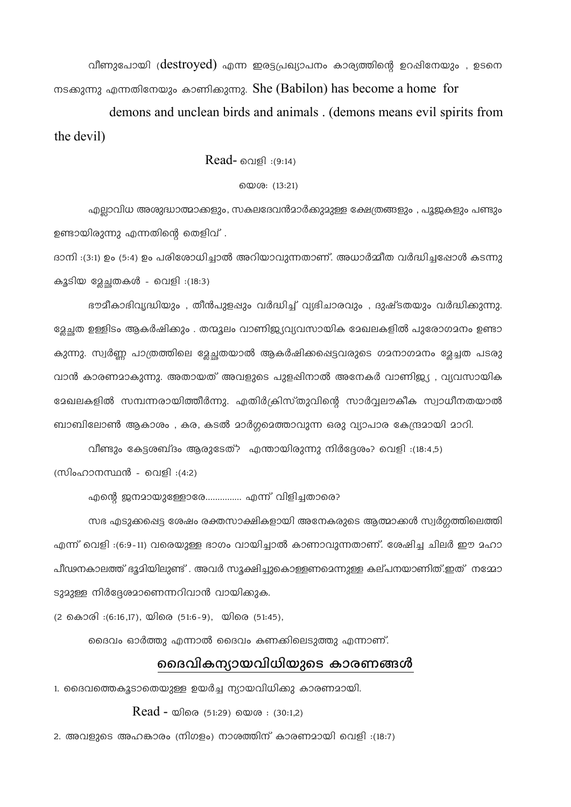വീണുപോയി ( $destroyed$ ) എന്ന ഇരട്ടപ്രഖ്യാപനം കാര്യത്തിന്റെ ഉറപ്പിനേയും , ഉടനെ നടക്കുന്നു എന്നതിനേയും കാണിക്കുന്നു. She (Babilon) has become a home for

demons and unclean birds and animals. (demons means evil spirits from the devil)

Read- വെളി :(9:14)

### യെശ: (13:21)

എലാവിധ അശുദ്ധാത്മാക്കളും, സകലദേവൻമാർക്കുമുള്ള ക്ഷേത്രങ്ങളും , പൂജകളും പണ്ടും ഉണ്ടായിരുന്നു എന്നതിന്റെ തെളിവ് .

ദാനി :(3:1) ഉം (5:4) ഉം പരിശോധിച്ചാൽ അറിയാവുന്നതാണ്. അധാർമ്മീത വർദ്ധിച്ചപ്പോൾ കടന്നു കൂടിയ മേചതകൾ - വെളി :(18:3)

ഭൗമീകാഭിവ്യദ്ധിയും , തീൻപുളപ്പും വർദ്ധിച്ച് വ്യഭിചാരവും , ദുഷ്ടതയും വർദ്ധിക്കുന്നു. ള്ളേച്ചത ഉള്ളിടം ആകർഷിക്കും . തന്മൂലം വാണിജ്യവ്യവസായിക മേഖലകളിൽ പുരോഗമനം ഉണ്ടാ കുന്നു. സ്വർണ്ണ പാത്രത്തിലെ മേചതയാൽ ആകർഷിക്കപ്പെട്ടവരുടെ ഗമനാഗമനം മേച്ചത പടരു വാൻ കാരണമാകുന്നു. അതായത് അവളുടെ പുളപ്പിനാൽ അനേകർ വാണിജ്യ , വ്യവസായിക ഭേഖലകളിൽ സമ്പന്നരായിത്തീർന്നു. എതിർക്രിസ്തുവിന്റെ സാർവ്വലൗകീക സ്വാധീനതയാൽ ബാബിലോൺ ആകാശം , കര, കടൽ മാർഗുമെത്താവുന്ന ഒരു വ്യാപാര കേന്ദ്രമായി മാറി.

വീണ്ടും കേട്ടശബ്ദം ആരുടേത്? എന്തായിരുന്നു നിർദ്ദേശം? വെളി :(18:4,5)

(സിംഹാനസ്ഥൻ - വെളി :(4:2)

എന്റെ ജനമായുള്ളോരേ................ എന്ന് വിളിച്ചതാരെ?

സഭ എടുക്കപ്പെട്ട ശേഷം രക്തസാക്ഷികളായി അനേകരുടെ ആത്മാക്കൾ സ്വർഗത്തിലെത്തി എന്ന് വെളി :(6:9-11) വരെയുള്ള ഭാഗം വായിച്ചാൽ കാണാവുന്നതാണ്. ശേഷിച്ച ചിലർ ഈ മഹാ പീഢനകാലത്ത് ഭൂമിയിലുണ്ട് . അവർ സൂക്ഷിച്ചുകൊള്ളണമെന്നുള്ള കല്പനയാണിത്.ഇത് നമ്മോ ടുമുള്ള നിർദ്ദേശമാണെന്നറിവാൻ വായിക്കുക.

(2 കൊരി :(6:16,17), യിരെ (51:6-9), യിരെ (51:45),

ദൈവം ഓർത്തു എന്നാൽ ദൈവം കണക്കിലെടുത്തു എന്നാണ്.

## ദൈവികന്യായവിധിയുടെ കാരണങ്ങൾ

1. ദൈവത്തെകൂടാതെയുള്ള ഉയർച്ച ന്യായവിധിക്കു കാരണമായി.

 $Read -$   $\omega$   $(51:29)$   $\omega$   $\omega$   $(30:1,2)$ 

2. അവളുടെ അഹങ്കാരം (നിഗളം) നാശത്തിന് കാരണമായി വെളി :(18:7)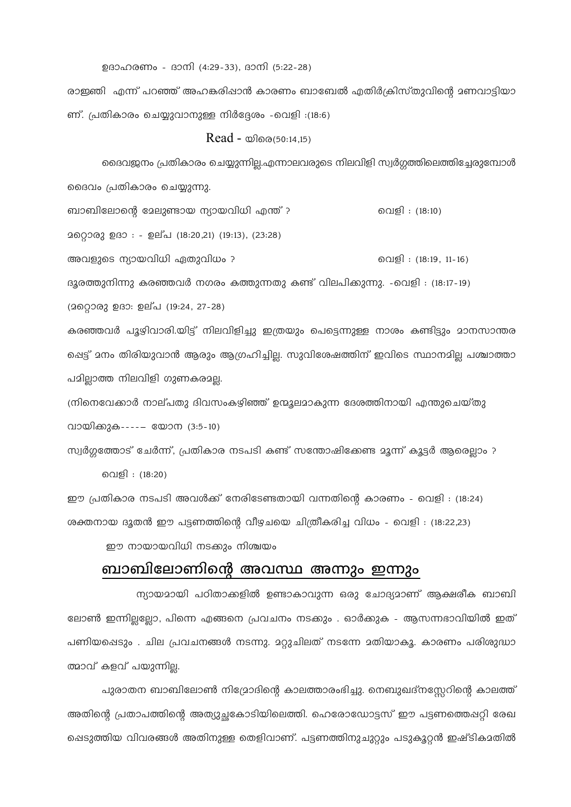ഉദാഹരണം - ദാനി (4:29-33), ദാനി (5:22-28)

രാഇഞി എന്ന് പറഞ്ഞ് അഹങ്കരിഷാൻ കാരണം ബാബേൽ എതിർക്രിസ്തുവിന്റെ മണവാട്ടിയാ ണ്. പ്രതികാരം ചെയ്യുവാനുള്ള നിർദ്ദേശം -വെളി :(18:6)

 $Read -$   $\omega$  $0.50:14,15)$ 

ദൈവജനം പ്രതികാരം ചെയ്യുന്നില്ല.എന്നാലവരുടെ നിലവിളി സ്വർഗ്ഗത്തിലെത്തിച്ചേരുമ്പോൾ ദൈവം പ്രതികാരം ചെയ്യുന്നു.

ബാബിലോന്റെ മേലുണ്ടായ ന്യായവിധി എന്ത് ? വെളി : (18:10) 2റെറ്റാരു ഉദാ : - ഉല്പ (18:20,21) (19:13), (23:28) അവളുടെ ന്യായവിധി ഏതുവിധം ? വെളി : (18:19, 11-16) ദൂരത്തുനിന്നു കരഞ്ഞവർ നഗരം കത്തുന്നതു കണ്ട് വിലപിക്കുന്നു. -വെളി : (18:17-19) (2லை 2030: ഉല്പ (19:24, 27-28)

കരഞ്ഞവർ പൂഴിവാരി.യിട്ട് നിലവിളിച്ചു ഇത്രയും പെട്ടെന്നുള്ള നാശം കണ്ടിട്ടും മാനസാന്തര ഷെട്ട് മനം തിരിയുവാൻ ആരും ആഗ്രഹിച്ചില്ല. സുവിശേഷത്തിന് ഇവിടെ സ്ഥാനമില്ല പശ്ചാത്താ പമിലാത്ത നിലവിളി ഗുണകരമല്ല.

ന്നിനെവേക്കാർ നാല്പതു ദിവസംകഴിഞ്ഞ് ഉന്മൂലമാകുന്ന ദേശത്തിനായി എന്തുചെയ്തു വായിക്കുക----- യോന (3:5-10)

സ്വർഗ്ഗത്തോട് ചേർന്ന്, പ്രതികാര നടപടി കണ്ട് സന്തോഷിക്കേണ്ട മൂന്ന് കൂട്ടർ ആരെല്ലാം ? വെളി : (18:20)

ഈ പ്രതികാര നടപടി അവൾക്ക് നേരിടേണ്ടതായി വന്നതിന്റെ കാരണം - വെളി : (18:24) ശക്തനായ ദൂതൻ ഈ പട്ടണത്തിന്റെ വീഴചയെ ചിത്രീകരിച്ച വിധം - വെളി : (18:22,23)

ഈ നായായവിധി നടക്കും നിശ്ചയം

# ബാബിലോണിന്റെ അവസ്ഥ അന്നും ഇന്നും

ന്യായമായി പഠിതാക്കളിൽ ഉണ്ടാകാവുന്ന ഒരു ചോദ്യമാണ് ആക്ഷരീക ബാബി ലോൺ ഇന്നില്ലല്ലോ, പിന്നെ എങ്ങനെ പ്രവചനം നടക്കും . ഓർക്കുക - ആസന്നഭാവിയിൽ ഇത് പണിയപ്പെടും . ചില പ്രവചനങ്ങൾ നടന്നു. മറ്റുചിലത് നടന്നേ മതിയാകൂ. കാരണം പരിശുദ്ധാ ത്മാവ് കളവ് പയുന്നില.

പുരാതന ബാബിലോൺ നിഗ്ദോദിന്റെ കാലത്താരംഭിച്ചു. നെബുഖദ്നസ്സേറിന്റെ കാലത്ത് അതിന്റെ പ്രതാപത്തിന്റെ അത്യുച്ഛകോടിയിലെത്തി. ഹെരോഡോട്ടസ് ഈ പട്ടണത്തെഷറ്റി രേഖ ഷെടുത്തിയ വിവരങ്ങൾ അതിനുള്ള തെളിവാണ്. പട്ടണത്തിനുചുറ്റും പടുകൂറ്റൻ ഇഷ്ടികാതിൽ